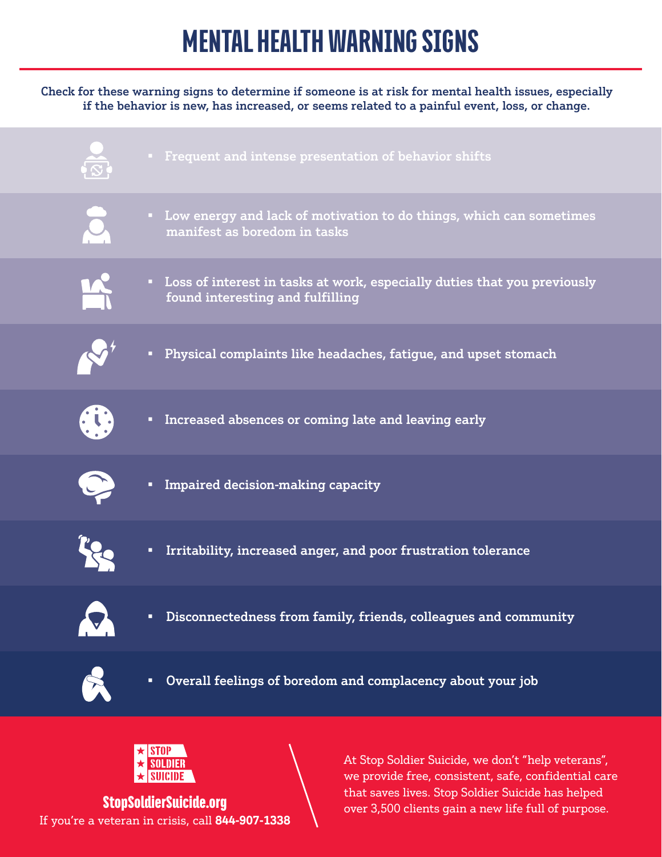# MENTAL HEALTH WARNING SIGNS

#### Check for these warning signs to determine if someone is at risk for mental health issues, especially if the behavior is new, has increased, or seems related to a painful event, loss, or change.





If you're a veteran in crisis, call **844-907-1338**

At Stop Soldier Suicide, we don't "help veterans", we provide free, consistent, safe, confidential care that saves lives. Stop Soldier Suicide has helped **StopSoldierSuicide.org** and the same saves from such position sales as help better that the full of purpose.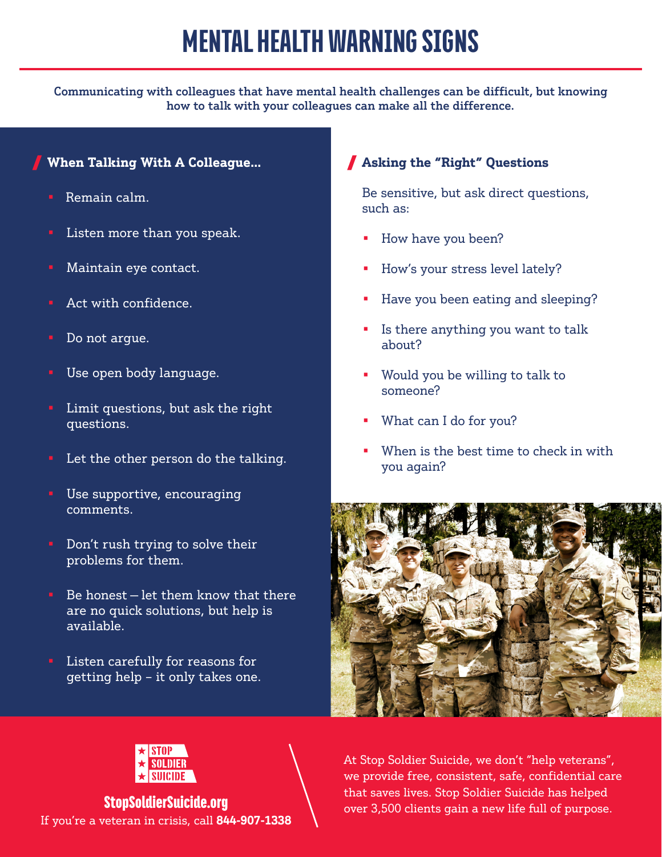### MENTAL HEALTH WARNING SIGNS

Communicating with colleagues that have mental health challenges can be difficult, but knowing how to talk with your colleagues can make all the difference.

#### **When Talking With A Colleague…**

- Remain calm.
- Listen more than you speak.
- Maintain eye contact.
- Act with confidence.
- Do not argue.
- Use open body language.
- Limit questions, but ask the right questions.
- Let the other person do the talking.
- Use supportive, encouraging comments.
- Don't rush trying to solve their problems for them.
- Be honest  $-\text{let}$  them know that there are no quick solutions, but help is available.
- Listen carefully for reasons for getting help – it only takes one.

### **Asking the "Right" Questions**

Be sensitive, but ask direct questions, such as:

- How have you been?
- How's your stress level lately?
- Have you been eating and sleeping?
- Is there anything you want to talk about?
- Would you be willing to talk to someone?
- What can I do for you?
- When is the best time to check in with you again?





If you're a veteran in crisis, call **844-907-1338**

At Stop Soldier Suicide, we don't "help veterans", we provide free, consistent, safe, confidential care that saves lives. Stop Soldier Suicide has helped **StopSoldierSuicide.org** entry that saves fives. Stop Soldier Suicide has helped